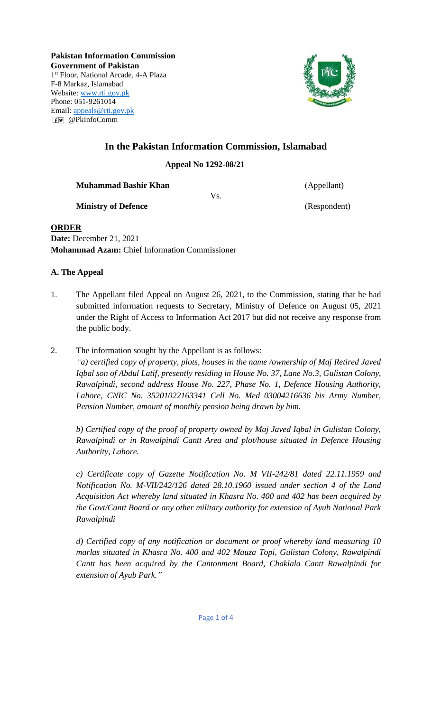**Pakistan Information Commission Government of Pakistan** 1 st Floor, National Arcade, 4-A Plaza F-8 Markaz, Islamabad Website: [www.rti.gov.pk](http://www.rti.gov.pk/) Phone: 051-9261014 Email: [appeals@rti.gov.pk](mailto:appeals@rti.gov.pk) @PkInfoComm



# **In the Pakistan Information Commission, Islamabad**

**Appeal No 1292-08/21**

**Muhammad Bashir Khan** (Appellant)

Vs.

**Ministry of Defence** (Respondent)

### **ORDER**

**Date:** December 21, 2021 **Mohammad Azam:** Chief Information Commissioner

## **A. The Appeal**

- 1. The Appellant filed Appeal on August 26, 2021, to the Commission, stating that he had submitted information requests to Secretary, Ministry of Defence on August 05, 2021 under the Right of Access to Information Act 2017 but did not receive any response from the public body.
- 2. The information sought by the Appellant is as follows:

*"a) certified copy of property, plots, houses in the name /ownership of Maj Retired Javed Iqbal son of Abdul Latif, presently residing in House No. 37, Lane No.3, Gulistan Colony, Rawalpindi, second address House No. 227, Phase No. 1, Defence Housing Authority, Lahore, CNIC No. 35201022163341 Cell No. Med 03004216636 his Army Number, Pension Number, amount of monthly pension being drawn by him.*

*b) Certified copy of the proof of property owned by Maj Javed Iqbal in Gulistan Colony, Rawalpindi or in Rawalpindi Cantt Area and plot/house situated in Defence Housing Authority, Lahore.*

*c) Certificate copy of Gazette Notification No. M VII-242/81 dated 22.11.1959 and Notification No. M-VII/242/126 dated 28.10.1960 issued under section 4 of the Land Acquisition Act whereby land situated in Khasra No. 400 and 402 has been acquired by the Govt/Cantt Board or any other military authority for extension of Ayub National Park Rawalpindi*

*d) Certified copy of any notification or document or proof whereby land measuring 10 marlas situated in Khasra No. 400 and 402 Mauza Topi, Gulistan Colony, Rawalpindi Cantt has been acquired by the Cantonment Board, Chaklala Cantt Rawalpindi for extension of Ayub Park."*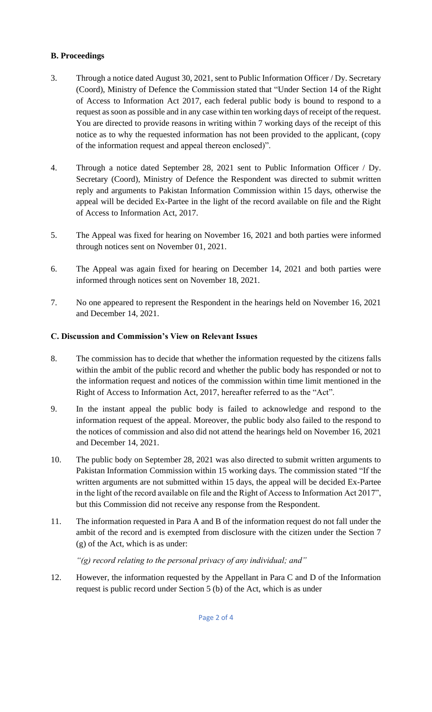### **B. Proceedings**

- 3. Through a notice dated August 30, 2021, sent to Public Information Officer / Dy. Secretary (Coord), Ministry of Defence the Commission stated that "Under Section 14 of the Right of Access to Information Act 2017, each federal public body is bound to respond to a request as soon as possible and in any case within ten working days of receipt of the request. You are directed to provide reasons in writing within 7 working days of the receipt of this notice as to why the requested information has not been provided to the applicant, (copy of the information request and appeal thereon enclosed)".
- 4. Through a notice dated September 28, 2021 sent to Public Information Officer / Dy. Secretary (Coord), Ministry of Defence the Respondent was directed to submit written reply and arguments to Pakistan Information Commission within 15 days, otherwise the appeal will be decided Ex-Partee in the light of the record available on file and the Right of Access to Information Act, 2017.
- 5. The Appeal was fixed for hearing on November 16, 2021 and both parties were informed through notices sent on November 01, 2021.
- 6. The Appeal was again fixed for hearing on December 14, 2021 and both parties were informed through notices sent on November 18, 2021.
- 7. No one appeared to represent the Respondent in the hearings held on November 16, 2021 and December 14, 2021.

### **C. Discussion and Commission's View on Relevant Issues**

- 8. The commission has to decide that whether the information requested by the citizens falls within the ambit of the public record and whether the public body has responded or not to the information request and notices of the commission within time limit mentioned in the Right of Access to Information Act, 2017, hereafter referred to as the "Act".
- 9. In the instant appeal the public body is failed to acknowledge and respond to the information request of the appeal. Moreover, the public body also failed to the respond to the notices of commission and also did not attend the hearings held on November 16, 2021 and December 14, 2021.
- 10. The public body on September 28, 2021 was also directed to submit written arguments to Pakistan Information Commission within 15 working days. The commission stated "If the written arguments are not submitted within 15 days, the appeal will be decided Ex-Partee in the light of the record available on file and the Right of Access to Information Act 2017", but this Commission did not receive any response from the Respondent.
- 11. The information requested in Para A and B of the information request do not fall under the ambit of the record and is exempted from disclosure with the citizen under the Section 7 (g) of the Act, which is as under:

*"(g) record relating to the personal privacy of any individual; and"*

12. However, the information requested by the Appellant in Para C and D of the Information request is public record under Section 5 (b) of the Act, which is as under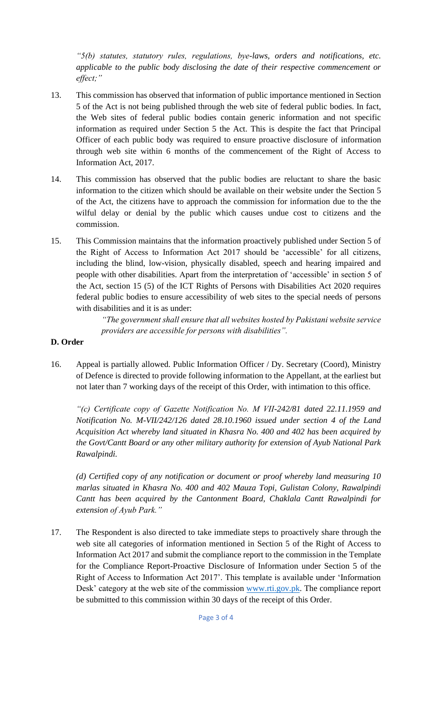*"5(b) statutes, statutory rules, regulations, bye-laws, orders and notifications, etc. applicable to the public body disclosing the date of their respective commencement or effect;"*

- 13. This commission has observed that information of public importance mentioned in Section 5 of the Act is not being published through the web site of federal public bodies. In fact, the Web sites of federal public bodies contain generic information and not specific information as required under Section 5 the Act. This is despite the fact that Principal Officer of each public body was required to ensure proactive disclosure of information through web site within 6 months of the commencement of the Right of Access to Information Act, 2017.
- 14. This commission has observed that the public bodies are reluctant to share the basic information to the citizen which should be available on their website under the Section 5 of the Act, the citizens have to approach the commission for information due to the the wilful delay or denial by the public which causes undue cost to citizens and the commission.
- 15. This Commission maintains that the information proactively published under Section 5 of the Right of Access to Information Act 2017 should be 'accessible' for all citizens, including the blind, low-vision, physically disabled, speech and hearing impaired and people with other disabilities. Apart from the interpretation of 'accessible' in section 5 of the Act, section 15 (5) of the ICT Rights of Persons with Disabilities Act 2020 requires federal public bodies to ensure accessibility of web sites to the special needs of persons with disabilities and it is as under:

*"The government shall ensure that all websites hosted by Pakistani website service providers are accessible for persons with disabilities".*

#### **D. Order**

16. Appeal is partially allowed. Public Information Officer / Dy. Secretary (Coord), Ministry of Defence is directed to provide following information to the Appellant, at the earliest but not later than 7 working days of the receipt of this Order, with intimation to this office.

*"(c) Certificate copy of Gazette Notification No. M VII-242/81 dated 22.11.1959 and Notification No. M-VII/242/126 dated 28.10.1960 issued under section 4 of the Land Acquisition Act whereby land situated in Khasra No. 400 and 402 has been acquired by the Govt/Cantt Board or any other military authority for extension of Ayub National Park Rawalpindi.*

*(d) Certified copy of any notification or document or proof whereby land measuring 10 marlas situated in Khasra No. 400 and 402 Mauza Topi, Gulistan Colony, Rawalpindi Cantt has been acquired by the Cantonment Board, Chaklala Cantt Rawalpindi for extension of Ayub Park."*

17. The Respondent is also directed to take immediate steps to proactively share through the web site all categories of information mentioned in Section 5 of the Right of Access to Information Act 2017 and submit the compliance report to the commission in the Template for the Compliance Report-Proactive Disclosure of Information under Section 5 of the Right of Access to Information Act 2017'. This template is available under 'Information Desk' category at the web site of the commission [www.rti.gov.pk.](http://www.rti.gov.pk/) The compliance report be submitted to this commission within 30 days of the receipt of this Order.